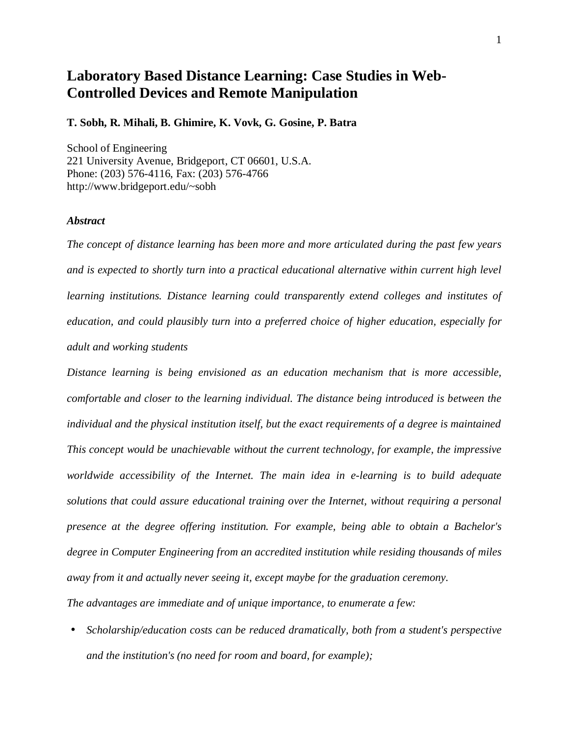## **Laboratory Based Distance Learning: Case Studies in Web-Controlled Devices and Remote Manipulation**

## **T. Sobh, R. Mihali, B. Ghimire, K. Vovk, G. Gosine, P. Batra**

School of Engineering 221 University Avenue, Bridgeport, CT 06601, U.S.A. Phone: (203) 576-4116, Fax: (203) 576-4766 http://www.bridgeport.edu/~sobh

## *Abstract*

*The concept of distance learning has been more and more articulated during the past few years and is expected to shortly turn into a practical educational alternative within current high level learning institutions. Distance learning could transparently extend colleges and institutes of education, and could plausibly turn into a preferred choice of higher education, especially for adult and working students*

*Distance learning is being envisioned as an education mechanism that is more accessible, comfortable and closer to the learning individual. The distance being introduced is between the individual and the physical institution itself, but the exact requirements of a degree is maintained This concept would be unachievable without the current technology, for example, the impressive worldwide accessibility of the Internet. The main idea in e-learning is to build adequate solutions that could assure educational training over the Internet, without requiring a personal presence at the degree offering institution. For example, being able to obtain a Bachelor's degree in Computer Engineering from an accredited institution while residing thousands of miles away from it and actually never seeing it, except maybe for the graduation ceremony.*

*The advantages are immediate and of unique importance, to enumerate a few:*

• *Scholarship/education costs can be reduced dramatically, both from a student's perspective and the institution's (no need for room and board, for example);*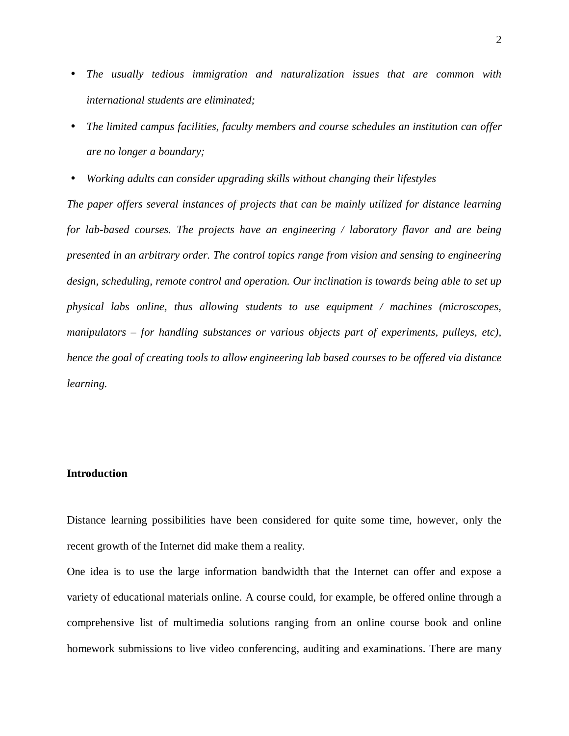- *The usually tedious immigration and naturalization issues that are common with international students are eliminated;*
- *The limited campus facilities, faculty members and course schedules an institution can offer are no longer a boundary;*
- *Working adults can consider upgrading skills without changing their lifestyles*

*The paper offers several instances of projects that can be mainly utilized for distance learning for lab-based courses. The projects have an engineering / laboratory flavor and are being presented in an arbitrary order. The control topics range from vision and sensing to engineering design, scheduling, remote control and operation. Our inclination is towards being able to set up physical labs online, thus allowing students to use equipment / machines (microscopes, manipulators – for handling substances or various objects part of experiments, pulleys, etc), hence the goal of creating tools to allow engineering lab based courses to be offered via distance learning.*

## **Introduction**

Distance learning possibilities have been considered for quite some time, however, only the recent growth of the Internet did make them a reality.

One idea is to use the large information bandwidth that the Internet can offer and expose a variety of educational materials online. A course could, for example, be offered online through a comprehensive list of multimedia solutions ranging from an online course book and online homework submissions to live video conferencing, auditing and examinations. There are many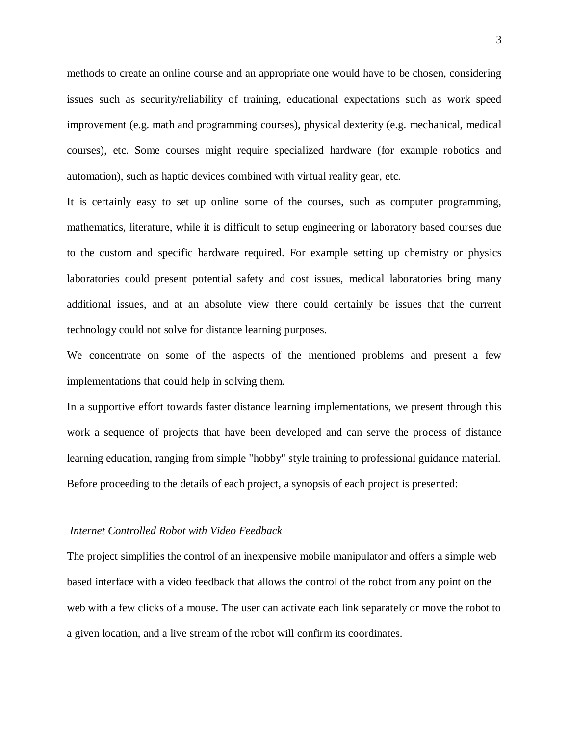methods to create an online course and an appropriate one would have to be chosen, considering issues such as security/reliability of training, educational expectations such as work speed improvement (e.g. math and programming courses), physical dexterity (e.g. mechanical, medical courses), etc. Some courses might require specialized hardware (for example robotics and automation), such as haptic devices combined with virtual reality gear, etc.

It is certainly easy to set up online some of the courses, such as computer programming, mathematics, literature, while it is difficult to setup engineering or laboratory based courses due to the custom and specific hardware required. For example setting up chemistry or physics laboratories could present potential safety and cost issues, medical laboratories bring many additional issues, and at an absolute view there could certainly be issues that the current technology could not solve for distance learning purposes.

We concentrate on some of the aspects of the mentioned problems and present a few implementations that could help in solving them.

In a supportive effort towards faster distance learning implementations, we present through this work a sequence of projects that have been developed and can serve the process of distance learning education, ranging from simple "hobby" style training to professional guidance material. Before proceeding to the details of each project, a synopsis of each project is presented:

## *Internet Controlled Robot with Video Feedback*

The project simplifies the control of an inexpensive mobile manipulator and offers a simple web based interface with a video feedback that allows the control of the robot from any point on the web with a few clicks of a mouse. The user can activate each link separately or move the robot to a given location, and a live stream of the robot will confirm its coordinates.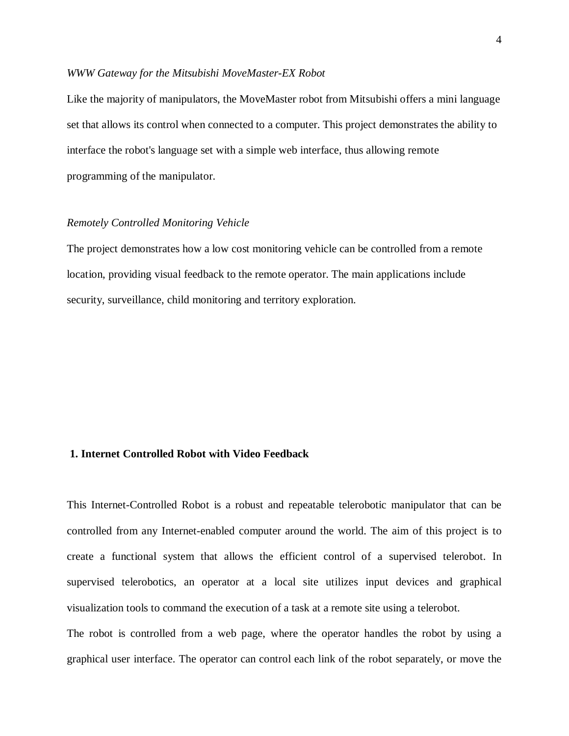## *WWW Gateway for the Mitsubishi MoveMaster-EX Robot*

Like the majority of manipulators, the MoveMaster robot from Mitsubishi offers a mini language set that allows its control when connected to a computer. This project demonstrates the ability to interface the robot's language set with a simple web interface, thus allowing remote programming of the manipulator.

#### *Remotely Controlled Monitoring Vehicle*

The project demonstrates how a low cost monitoring vehicle can be controlled from a remote location, providing visual feedback to the remote operator. The main applications include security, surveillance, child monitoring and territory exploration.

## **1. Internet Controlled Robot with Video Feedback**

This Internet-Controlled Robot is a robust and repeatable telerobotic manipulator that can be controlled from any Internet-enabled computer around the world. The aim of this project is to create a functional system that allows the efficient control of a supervised telerobot. In supervised telerobotics, an operator at a local site utilizes input devices and graphical visualization tools to command the execution of a task at a remote site using a telerobot.

The robot is controlled from a web page, where the operator handles the robot by using a graphical user interface. The operator can control each link of the robot separately, or move the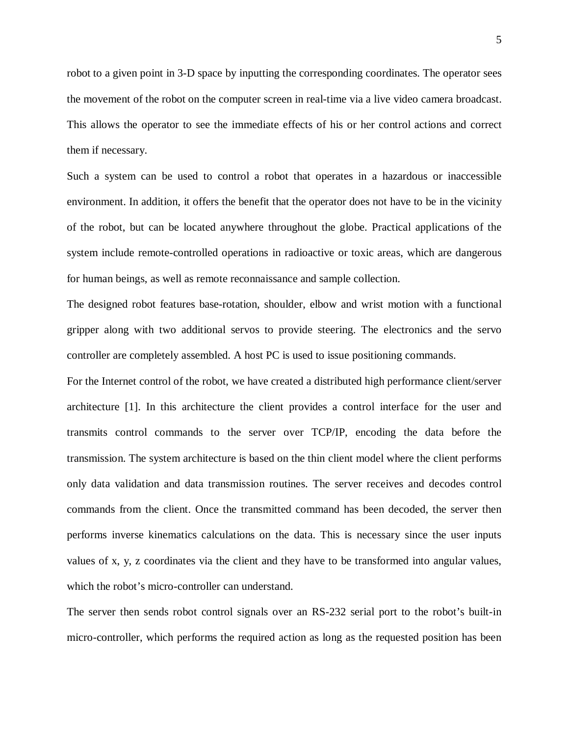robot to a given point in 3-D space by inputting the corresponding coordinates. The operator sees the movement of the robot on the computer screen in real-time via a live video camera broadcast. This allows the operator to see the immediate effects of his or her control actions and correct them if necessary.

Such a system can be used to control a robot that operates in a hazardous or inaccessible environment. In addition, it offers the benefit that the operator does not have to be in the vicinity of the robot, but can be located anywhere throughout the globe. Practical applications of the system include remote-controlled operations in radioactive or toxic areas, which are dangerous for human beings, as well as remote reconnaissance and sample collection.

The designed robot features base-rotation, shoulder, elbow and wrist motion with a functional gripper along with two additional servos to provide steering. The electronics and the servo controller are completely assembled. A host PC is used to issue positioning commands.

For the Internet control of the robot, we have created a distributed high performance client/server architecture [1]. In this architecture the client provides a control interface for the user and transmits control commands to the server over TCP/IP, encoding the data before the transmission. The system architecture is based on the thin client model where the client performs only data validation and data transmission routines. The server receives and decodes control commands from the client. Once the transmitted command has been decoded, the server then performs inverse kinematics calculations on the data. This is necessary since the user inputs values of x, y, z coordinates via the client and they have to be transformed into angular values, which the robot's micro-controller can understand.

The server then sends robot control signals over an RS-232 serial port to the robot's built-in micro-controller, which performs the required action as long as the requested position has been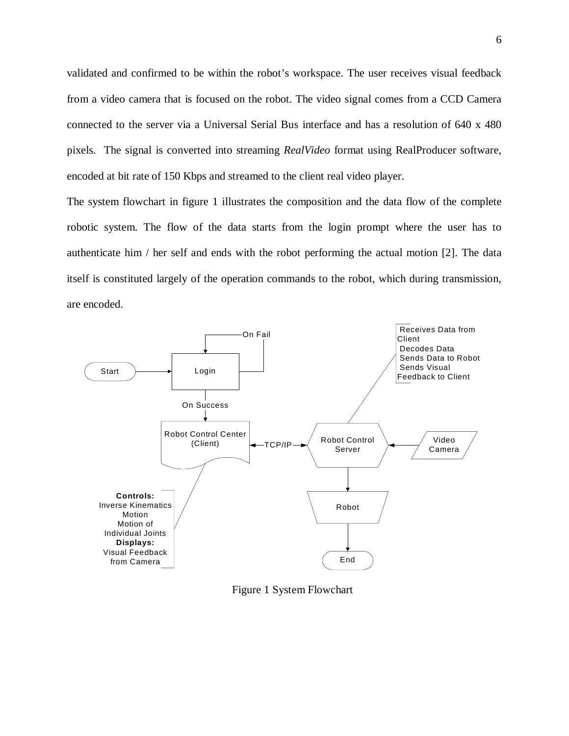validated and confirmed to be within the robot's workspace. The user receives visual feedback from a video camera that is focused on the robot. The video signal comes from a CCD Camera connected to the server via a Universal Serial Bus interface and has a resolution of 640 x 480 pixels. The signal is converted into streaming *RealVideo* format using RealProducer software, encoded at bit rate of 150 Kbps and streamed to the client real video player.

The system flowchart in figure 1 illustrates the composition and the data flow of the complete robotic system. The flow of the data starts from the login prompt where the user has to authenticate him / her self and ends with the robot performing the actual motion [2]. The data itself is constituted largely of the operation commands to the robot, which during transmission, are encoded.



Figure 1 System Flowchart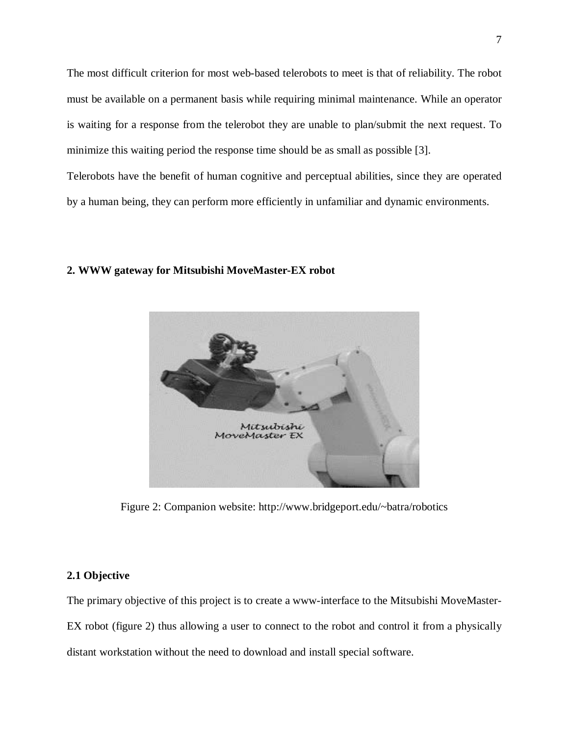The most difficult criterion for most web-based telerobots to meet is that of reliability. The robot must be available on a permanent basis while requiring minimal maintenance. While an operator is waiting for a response from the telerobot they are unable to plan/submit the next request. To minimize this waiting period the response time should be as small as possible [3].

Telerobots have the benefit of human cognitive and perceptual abilities, since they are operated by a human being, they can perform more efficiently in unfamiliar and dynamic environments.

#### **2. WWW gateway for Mitsubishi MoveMaster-EX robot**



Figure 2: Companion website: http://www.bridgeport.edu/~batra/robotics

## **2.1 Objective**

The primary objective of this project is to create a www-interface to the Mitsubishi MoveMaster-EX robot (figure 2) thus allowing a user to connect to the robot and control it from a physically distant workstation without the need to download and install special software.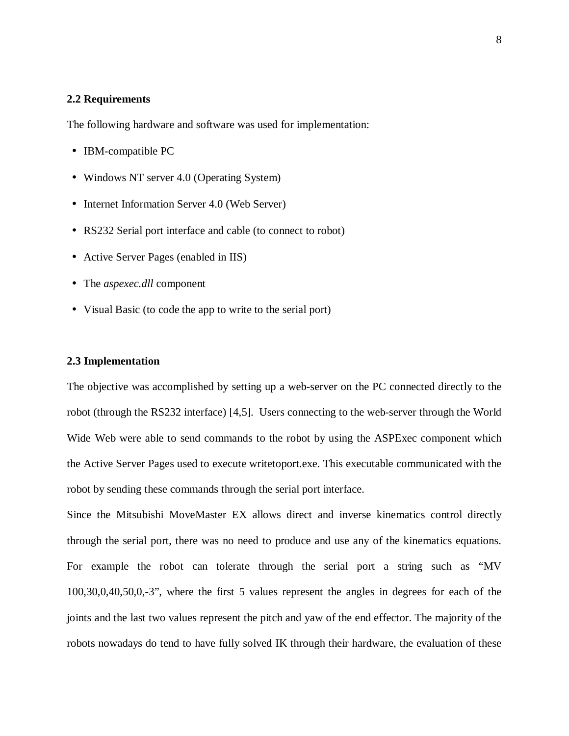## **2.2 Requirements**

The following hardware and software was used for implementation:

- IBM-compatible PC
- Windows NT server 4.0 (Operating System)
- Internet Information Server 4.0 (Web Server)
- RS232 Serial port interface and cable (to connect to robot)
- Active Server Pages (enabled in IIS)
- The *aspexec.dll* component
- Visual Basic (to code the app to write to the serial port)

## **2.3 Implementation**

The objective was accomplished by setting up a web-server on the PC connected directly to the robot (through the RS232 interface) [4,5]. Users connecting to the web-server through the World Wide Web were able to send commands to the robot by using the ASPExec component which the Active Server Pages used to execute writetoport.exe. This executable communicated with the robot by sending these commands through the serial port interface.

Since the Mitsubishi MoveMaster EX allows direct and inverse kinematics control directly through the serial port, there was no need to produce and use any of the kinematics equations. For example the robot can tolerate through the serial port a string such as "MV 100,30,0,40,50,0,-3", where the first 5 values represent the angles in degrees for each of the joints and the last two values represent the pitch and yaw of the end effector. The majority of the robots nowadays do tend to have fully solved IK through their hardware, the evaluation of these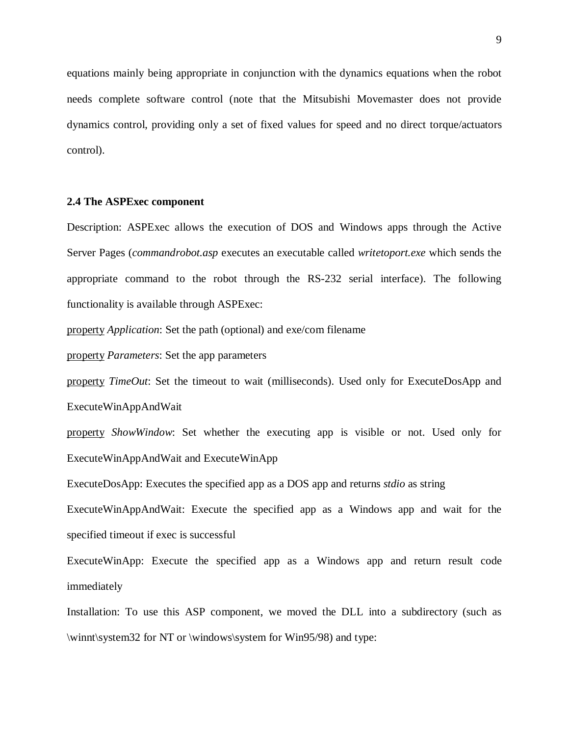equations mainly being appropriate in conjunction with the dynamics equations when the robot needs complete software control (note that the Mitsubishi Movemaster does not provide dynamics control, providing only a set of fixed values for speed and no direct torque/actuators control).

## **2.4 The ASPExec component**

Description: ASPExec allows the execution of DOS and Windows apps through the Active Server Pages (*commandrobot.asp* executes an executable called *writetoport.exe* which sends the appropriate command to the robot through the RS-232 serial interface). The following functionality is available through ASPExec:

property *Application*: Set the path (optional) and exe/com filename

property *Parameters*: Set the app parameters

property *TimeOut*: Set the timeout to wait (milliseconds). Used only for ExecuteDosApp and ExecuteWinAppAndWait

property *ShowWindow*: Set whether the executing app is visible or not. Used only for ExecuteWinAppAndWait and ExecuteWinApp

ExecuteDosApp: Executes the specified app as a DOS app and returns *stdio* as string

ExecuteWinAppAndWait: Execute the specified app as a Windows app and wait for the specified timeout if exec is successful

ExecuteWinApp: Execute the specified app as a Windows app and return result code immediately

Installation: To use this ASP component, we moved the DLL into a subdirectory (such as \winnt\system32 for NT or \windows\system for Win95/98) and type: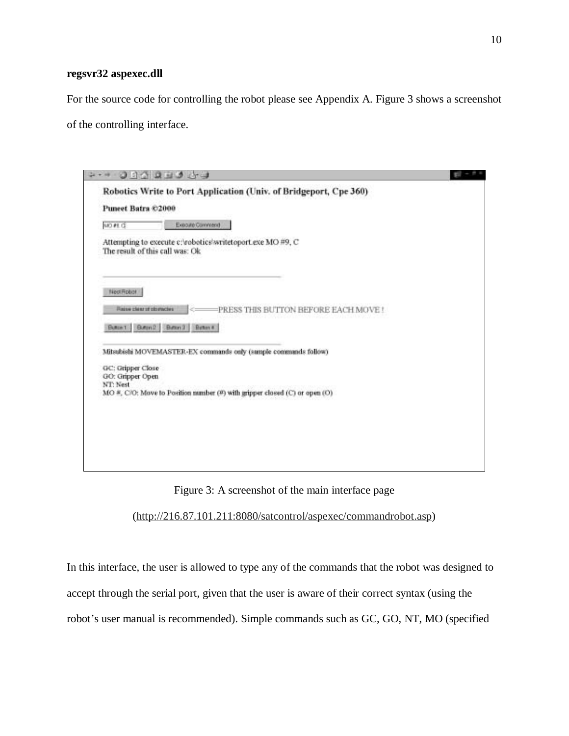## **regsvr32 aspexec.dll**

For the source code for controlling the robot please see Appendix A. Figure 3 shows a screenshot of the controlling interface.

|                                                   | ODARES & J                                                                                     | $10 - 6x$ |
|---------------------------------------------------|------------------------------------------------------------------------------------------------|-----------|
| Puneet Batra ©2000                                | Robotics Write to Port Application (Univ. of Bridgeport, Cpe 360)                              |           |
| MO #1 CE                                          | Expound Comment                                                                                |           |
|                                                   | Attempting to execute c:/robotics/writetoport.exe MO #9, C<br>The result of this call was: Ok. |           |
| NeetRober                                         |                                                                                                |           |
| Flazion clear of citoractes                       | PRESS THIS BUTTON BEFORE EACH MOVE !<br>Butter1 Butter2 Butter1 Butter 4                       |           |
|                                                   | Mitsubishi MOVEMASTER-EX commands only (sample commands follow)                                |           |
| GC: Gripper Close<br>GO: Gripper Open<br>NT: Nest |                                                                                                |           |
|                                                   | MO #, C/O: Move to Position number (#) with gripper closed (C) or open (O)                     |           |
|                                                   |                                                                                                |           |
|                                                   |                                                                                                |           |
|                                                   |                                                                                                |           |
|                                                   |                                                                                                |           |

Figure 3: A screenshot of the main interface page

(http://216.87.101.211:8080/satcontrol/aspexec/commandrobot.asp)

In this interface, the user is allowed to type any of the commands that the robot was designed to accept through the serial port, given that the user is aware of their correct syntax (using the

robot's user manual is recommended). Simple commands such as GC, GO, NT, MO (specified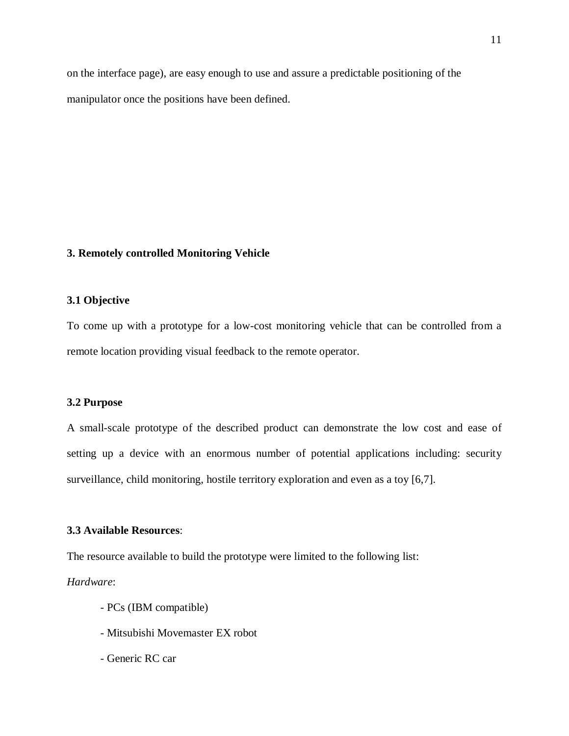on the interface page), are easy enough to use and assure a predictable positioning of the manipulator once the positions have been defined.

## **3. Remotely controlled Monitoring Vehicle**

## **3.1 Objective**

To come up with a prototype for a low-cost monitoring vehicle that can be controlled from a remote location providing visual feedback to the remote operator.

## **3.2 Purpose**

A small-scale prototype of the described product can demonstrate the low cost and ease of setting up a device with an enormous number of potential applications including: security surveillance, child monitoring, hostile territory exploration and even as a toy [6,7].

## **3.3 Available Resources**:

The resource available to build the prototype were limited to the following list:

## *Hardware*:

- PCs (IBM compatible)
- Mitsubishi Movemaster EX robot
- Generic RC car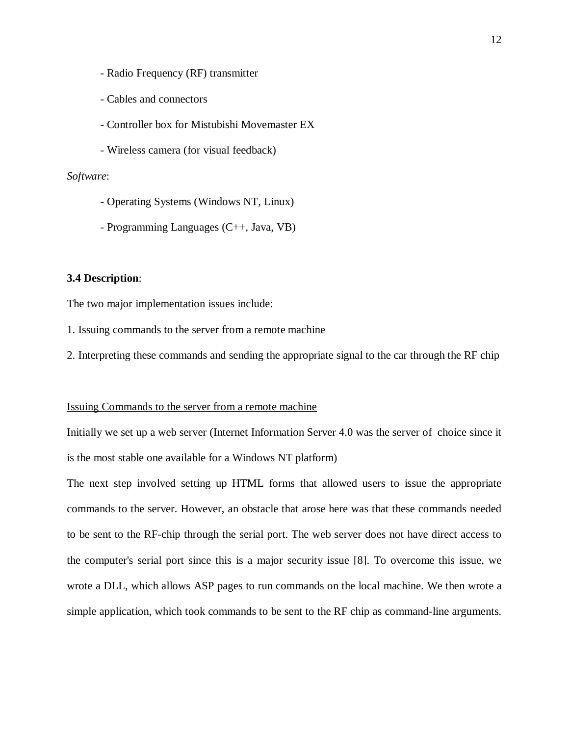- Radio Frequency (RF) transmitter
- Cables and connectors
- Controller box for Mistubishi Movemaster EX
- Wireless camera (for visual feedback)

## *Software*:

- Operating Systems (Windows NT, Linux)
- Programming Languages (C++, Java, VB)

## **3.4 Description**:

The two major implementation issues include:

1. Issuing commands to the server from a remote machine

2. Interpreting these commands and sending the appropriate signal to the car through the RF chip

## Issuing Commands to the server from a remote machine

Initially we set up a web server (Internet Information Server 4.0 was the server of choice since it is the most stable one available for a Windows NT platform)

The next step involved setting up HTML forms that allowed users to issue the appropriate commands to the server. However, an obstacle that arose here was that these commands needed to be sent to the RF-chip through the serial port. The web server does not have direct access to the computer's serial port since this is a major security issue [8]. To overcome this issue, we wrote a DLL, which allows ASP pages to run commands on the local machine. We then wrote a simple application, which took commands to be sent to the RF chip as command-line arguments.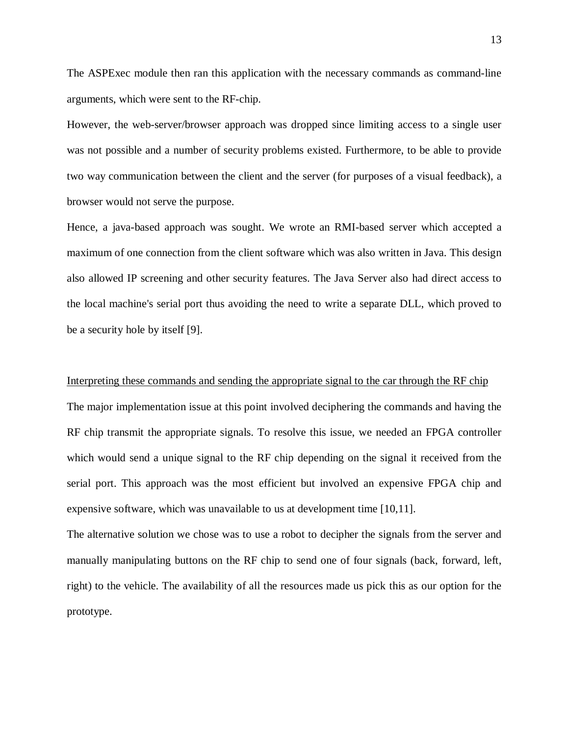The ASPExec module then ran this application with the necessary commands as command-line arguments, which were sent to the RF-chip.

However, the web-server/browser approach was dropped since limiting access to a single user was not possible and a number of security problems existed. Furthermore, to be able to provide two way communication between the client and the server (for purposes of a visual feedback), a browser would not serve the purpose.

Hence, a java-based approach was sought. We wrote an RMI-based server which accepted a maximum of one connection from the client software which was also written in Java. This design also allowed IP screening and other security features. The Java Server also had direct access to the local machine's serial port thus avoiding the need to write a separate DLL, which proved to be a security hole by itself [9].

#### Interpreting these commands and sending the appropriate signal to the car through the RF chip

The major implementation issue at this point involved deciphering the commands and having the RF chip transmit the appropriate signals. To resolve this issue, we needed an FPGA controller which would send a unique signal to the RF chip depending on the signal it received from the serial port. This approach was the most efficient but involved an expensive FPGA chip and expensive software, which was unavailable to us at development time [10,11].

The alternative solution we chose was to use a robot to decipher the signals from the server and manually manipulating buttons on the RF chip to send one of four signals (back, forward, left, right) to the vehicle. The availability of all the resources made us pick this as our option for the prototype.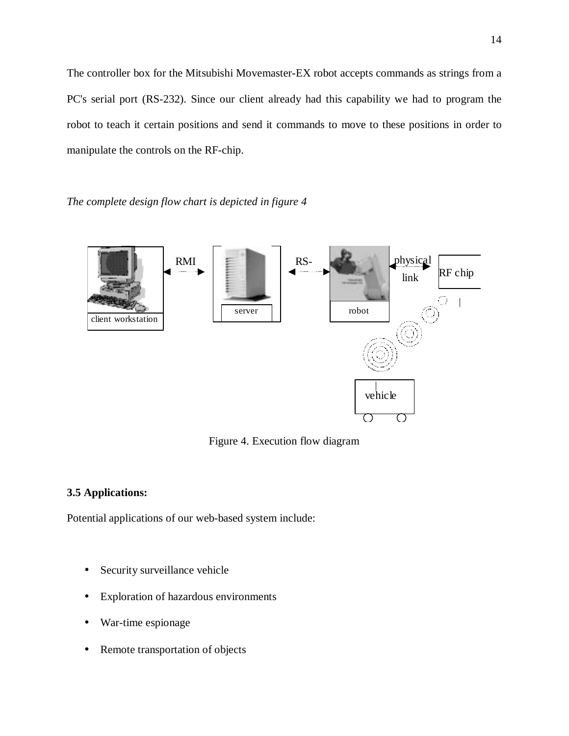The controller box for the Mitsubishi Movemaster-EX robot accepts commands as strings from a PC's serial port (RS-232). Since our client already had this capability we had to program the robot to teach it certain positions and send it commands to move to these positions in order to manipulate the controls on the RF-chip.

*The complete design flow chart is depicted in figure 4*



Figure 4. Execution flow diagram

## **3.5 Applications:**

Potential applications of our web-based system include:

- Security surveillance vehicle
- Exploration of hazardous environments
- War-time espionage
- Remote transportation of objects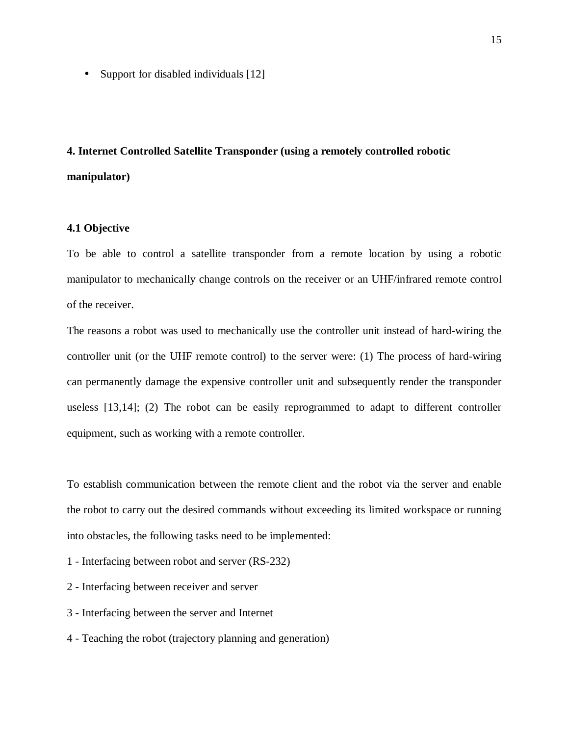• Support for disabled individuals [12]

# **4. Internet Controlled Satellite Transponder (using a remotely controlled robotic manipulator)**

## **4.1 Objective**

To be able to control a satellite transponder from a remote location by using a robotic manipulator to mechanically change controls on the receiver or an UHF/infrared remote control of the receiver.

The reasons a robot was used to mechanically use the controller unit instead of hard-wiring the controller unit (or the UHF remote control) to the server were: (1) The process of hard-wiring can permanently damage the expensive controller unit and subsequently render the transponder useless [13,14]; (2) The robot can be easily reprogrammed to adapt to different controller equipment, such as working with a remote controller.

To establish communication between the remote client and the robot via the server and enable the robot to carry out the desired commands without exceeding its limited workspace or running into obstacles, the following tasks need to be implemented:

1 - Interfacing between robot and server (RS-232)

- 2 Interfacing between receiver and server
- 3 Interfacing between the server and Internet
- 4 Teaching the robot (trajectory planning and generation)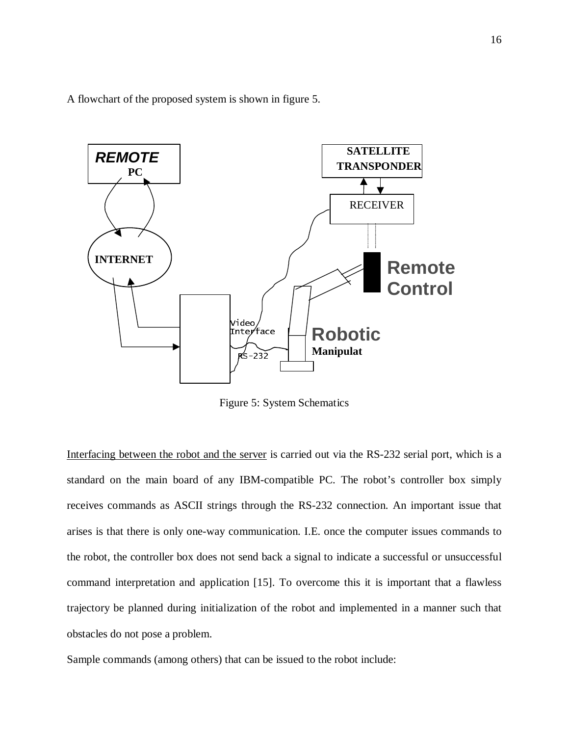A flowchart of the proposed system is shown in figure 5.



Figure 5: System Schematics

Interfacing between the robot and the server is carried out via the RS-232 serial port, which is a standard on the main board of any IBM-compatible PC. The robot's controller box simply receives commands as ASCII strings through the RS-232 connection. An important issue that arises is that there is only one-way communication. I.E. once the computer issues commands to the robot, the controller box does not send back a signal to indicate a successful or unsuccessful command interpretation and application [15]. To overcome this it is important that a flawless trajectory be planned during initialization of the robot and implemented in a manner such that obstacles do not pose a problem.

Sample commands (among others) that can be issued to the robot include: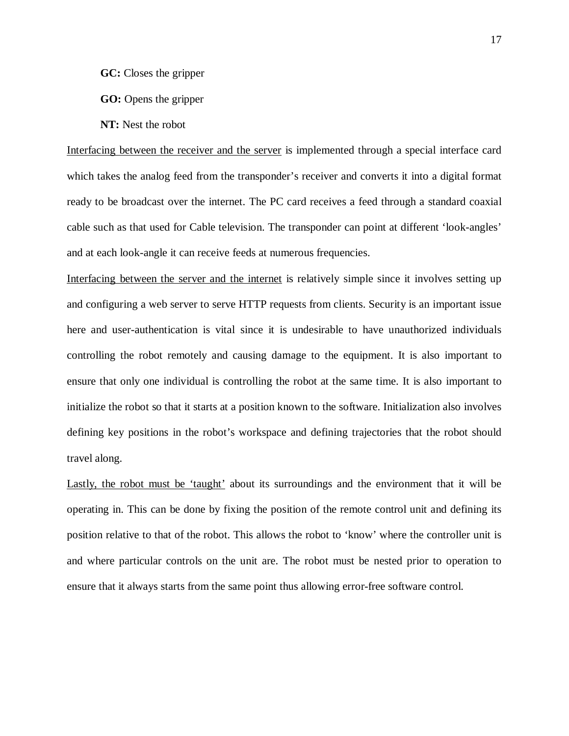**GC:** Closes the gripper

**GO:** Opens the gripper

**NT:** Nest the robot

Interfacing between the receiver and the server is implemented through a special interface card which takes the analog feed from the transponder's receiver and converts it into a digital format ready to be broadcast over the internet. The PC card receives a feed through a standard coaxial cable such as that used for Cable television. The transponder can point at different 'look-angles' and at each look-angle it can receive feeds at numerous frequencies.

Interfacing between the server and the internet is relatively simple since it involves setting up and configuring a web server to serve HTTP requests from clients. Security is an important issue here and user-authentication is vital since it is undesirable to have unauthorized individuals controlling the robot remotely and causing damage to the equipment. It is also important to ensure that only one individual is controlling the robot at the same time. It is also important to initialize the robot so that it starts at a position known to the software. Initialization also involves defining key positions in the robot's workspace and defining trajectories that the robot should travel along.

Lastly, the robot must be 'taught' about its surroundings and the environment that it will be operating in. This can be done by fixing the position of the remote control unit and defining its position relative to that of the robot. This allows the robot to 'know' where the controller unit is and where particular controls on the unit are. The robot must be nested prior to operation to ensure that it always starts from the same point thus allowing error-free software control.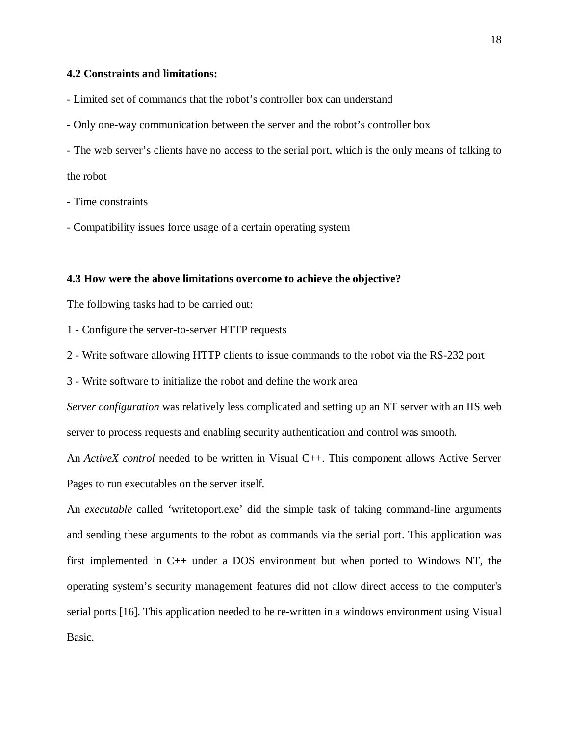## **4.2 Constraints and limitations:**

- Limited set of commands that the robot's controller box can understand

- Only one-way communication between the server and the robot's controller box
- The web server's clients have no access to the serial port, which is the only means of talking to

the robot

- Time constraints
- Compatibility issues force usage of a certain operating system

## **4.3 How were the above limitations overcome to achieve the objective?**

The following tasks had to be carried out:

- 1 Configure the server-to-server HTTP requests
- 2 Write software allowing HTTP clients to issue commands to the robot via the RS-232 port
- 3 Write software to initialize the robot and define the work area

*Server configuration* was relatively less complicated and setting up an NT server with an IIS web server to process requests and enabling security authentication and control was smooth.

An *ActiveX control* needed to be written in Visual C++. This component allows Active Server Pages to run executables on the server itself.

An *executable* called 'writetoport.exe' did the simple task of taking command-line arguments and sending these arguments to the robot as commands via the serial port. This application was first implemented in C++ under a DOS environment but when ported to Windows NT, the operating system's security management features did not allow direct access to the computer's serial ports [16]. This application needed to be re-written in a windows environment using Visual Basic.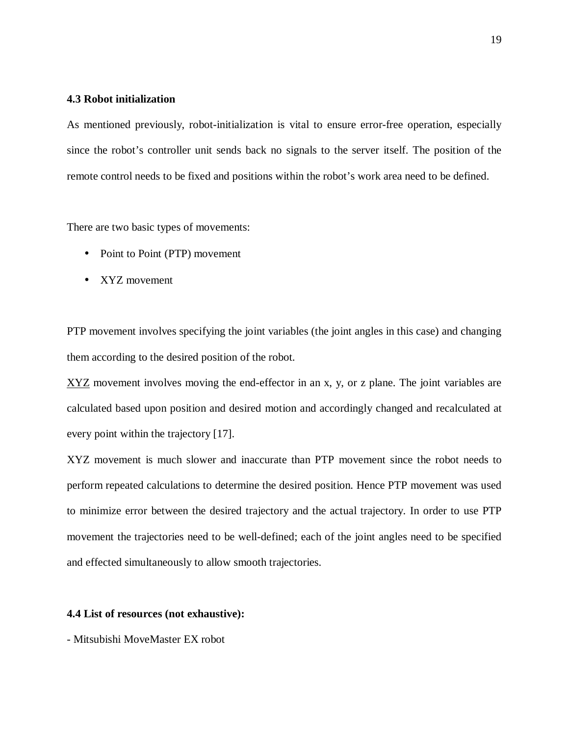## **4.3 Robot initialization**

As mentioned previously, robot-initialization is vital to ensure error-free operation, especially since the robot's controller unit sends back no signals to the server itself. The position of the remote control needs to be fixed and positions within the robot's work area need to be defined.

There are two basic types of movements:

- Point to Point (PTP) movement
- XYZ movement

PTP movement involves specifying the joint variables (the joint angles in this case) and changing them according to the desired position of the robot.

 $XYZ$  movement involves moving the end-effector in an x, y, or z plane. The joint variables are calculated based upon position and desired motion and accordingly changed and recalculated at every point within the trajectory [17].

XYZ movement is much slower and inaccurate than PTP movement since the robot needs to perform repeated calculations to determine the desired position. Hence PTP movement was used to minimize error between the desired trajectory and the actual trajectory. In order to use PTP movement the trajectories need to be well-defined; each of the joint angles need to be specified and effected simultaneously to allow smooth trajectories.

#### **4.4 List of resources (not exhaustive):**

- Mitsubishi MoveMaster EX robot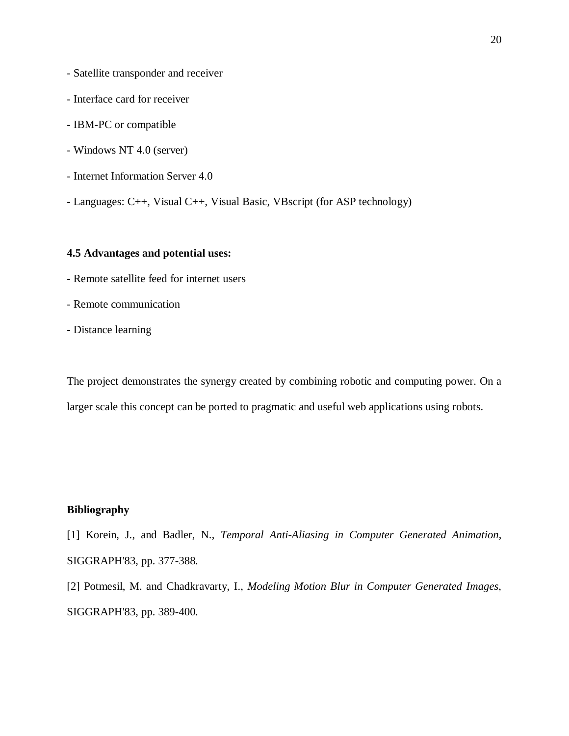- Satellite transponder and receiver
- Interface card for receiver
- IBM-PC or compatible
- Windows NT 4.0 (server)
- Internet Information Server 4.0
- Languages: C++, Visual C++, Visual Basic, VBscript (for ASP technology)

## **4.5 Advantages and potential uses:**

- Remote satellite feed for internet users
- Remote communication
- Distance learning

The project demonstrates the synergy created by combining robotic and computing power. On a larger scale this concept can be ported to pragmatic and useful web applications using robots.

## **Bibliography**

[1] Korein, J., and Badler, N., *Temporal Anti-Aliasing in Computer Generated Animation*, SIGGRAPH'83, pp. 377-388.

[2] Potmesil, M. and Chadkravarty, I., *Modeling Motion Blur in Computer Generated Images*, SIGGRAPH'83, pp. 389-400.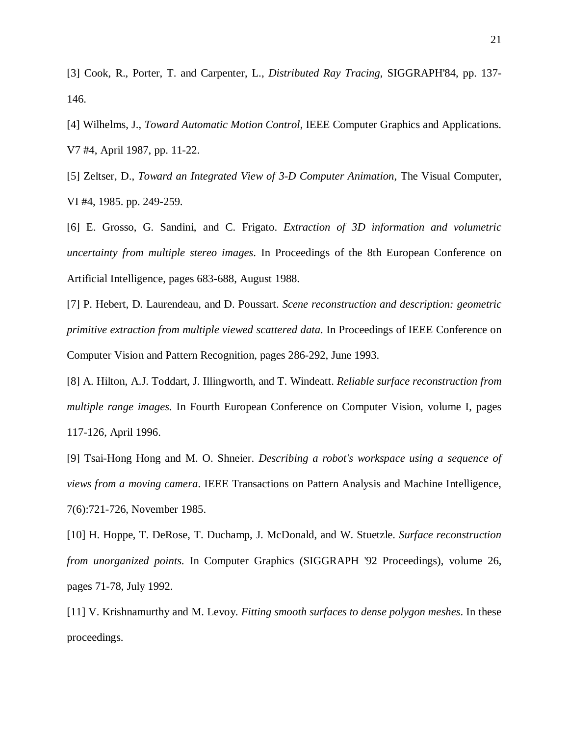[3] Cook, R., Porter, T. and Carpenter, L., *Distributed Ray Tracing*, SIGGRAPH'84, pp. 137- 146.

[4] Wilhelms, J., *Toward Automatic Motion Control*, IEEE Computer Graphics and Applications. V7 #4, April 1987, pp. 11-22.

[5] Zeltser, D., *Toward an Integrated View of 3-D Computer Animation*, The Visual Computer, VI #4, 1985. pp. 249-259.

[6] E. Grosso, G. Sandini, and C. Frigato. *Extraction of 3D information and volumetric uncertainty from multiple stereo images*. In Proceedings of the 8th European Conference on Artificial Intelligence, pages 683-688, August 1988.

[7] P. Hebert, D. Laurendeau, and D. Poussart. *Scene reconstruction and description: geometric primitive extraction from multiple viewed scattered data*. In Proceedings of IEEE Conference on Computer Vision and Pattern Recognition, pages 286-292, June 1993.

[8] A. Hilton, A.J. Toddart, J. Illingworth, and T. Windeatt. *Reliable surface reconstruction from multiple range images*. In Fourth European Conference on Computer Vision, volume I, pages 117-126, April 1996.

[9] Tsai-Hong Hong and M. O. Shneier. *Describing a robot's workspace using a sequence of views from a moving camera*. IEEE Transactions on Pattern Analysis and Machine Intelligence, 7(6):721-726, November 1985.

[10] H. Hoppe, T. DeRose, T. Duchamp, J. McDonald, and W. Stuetzle. *Surface reconstruction from unorganized points*. In Computer Graphics (SIGGRAPH '92 Proceedings), volume 26, pages 71-78, July 1992.

[11] V. Krishnamurthy and M. Levoy. *Fitting smooth surfaces to dense polygon meshes*. In these proceedings.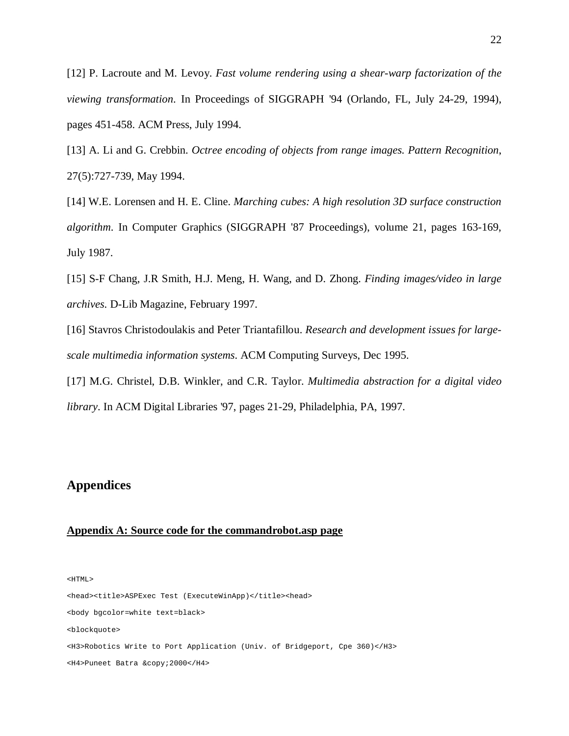[12] P. Lacroute and M. Levoy. *Fast volume rendering using a shear-warp factorization of the viewing transformation*. In Proceedings of SIGGRAPH '94 (Orlando, FL, July 24-29, 1994), pages 451-458. ACM Press, July 1994.

[13] A. Li and G. Crebbin. *Octree encoding of objects from range images. Pattern Recognition*, 27(5):727-739, May 1994.

[14] W.E. Lorensen and H. E. Cline. *Marching cubes: A high resolution 3D surface construction algorithm*. In Computer Graphics (SIGGRAPH '87 Proceedings), volume 21, pages 163-169, July 1987.

[15] S-F Chang, J.R Smith, H.J. Meng, H. Wang, and D. Zhong. *Finding images/video in large archives*. D-Lib Magazine, February 1997.

[16] Stavros Christodoulakis and Peter Triantafillou. *Research and development issues for largescale multimedia information systems*. ACM Computing Surveys, Dec 1995.

[17] M.G. Christel, D.B. Winkler, and C.R. Taylor. *Multimedia abstraction for a digital video library*. In ACM Digital Libraries '97, pages 21-29, Philadelphia, PA, 1997.

## **Appendices**

#### **Appendix A: Source code for the commandrobot.asp page**

<HTML>

<head><title>ASPExec Test (ExecuteWinApp)</title><head> <body bgcolor=white text=black> <blockquote> <H3>Robotics Write to Port Application (Univ. of Bridgeport, Cpe 360)</H3> <H4>Puneet Batra &copy; 2000</H4>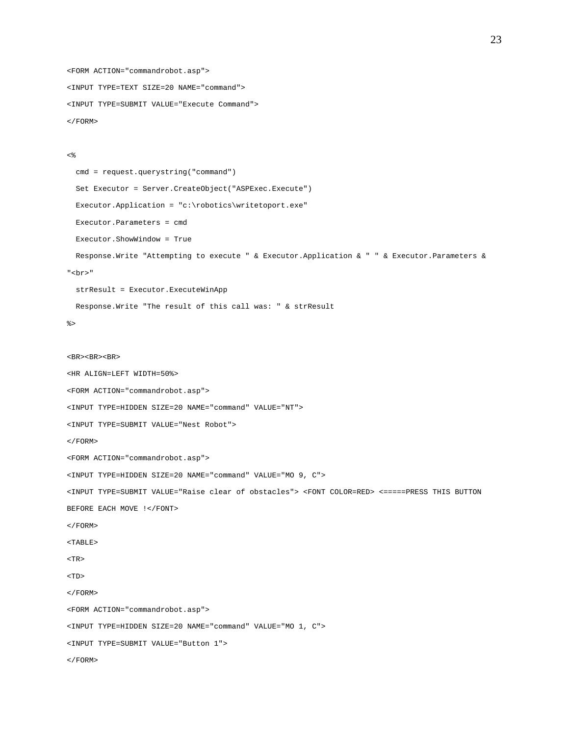```
<FORM ACTION="commandrobot.asp">
<INPUT TYPE=TEXT SIZE=20 NAME="command">
<INPUT TYPE=SUBMIT VALUE="Execute Command">
< / {\rm FORM} >
```

```
<\frac{6}{6}
```

```
cmd = request.querystring("command")
  Set Executor = Server.CreateObject("ASPExec.Execute")
  Executor.Application = "c:\robotics\writetoport.exe"
  Executor.Parameters = cmd
 Executor.ShowWindow = True
 Response.Write "Attempting to execute " & Executor.Application&""& Executor.Parameters &
"<br>"
  strResult = Executor.ExecuteWinApp
 Response.Write "The result of this call was: " & strResult
\frac{6}{6}<BR><BR><BR><HR ALIGN=LEFT WIDTH=50%>
<FORM ACTION="commandrobot.asp">
<INPUT TYPE=HIDDEN SIZE=20 NAME="command" VALUE="NT">
<INPUT TYPE=SUBMIT VALUE="Nest Robot">
< / {\rm FORM} ><FORM ACTION="commandrobot.asp">
<INPUT TYPE=HIDDEN SIZE=20 NAME="command" VALUE="MO 9, C">
<INPUT TYPE=SUBMIT VALUE="Raise clear of obstacles"> <FONT COLOR=RED> <=====PRESS THIS BUTTON
BEFORE EACH MOVE !</FONT>
< / {\rm FORM} ><TABLE>
<TR><TD></FORM>
<FORM ACTION="commandrobot.asp">
<INPUT TYPE=HIDDEN SIZE=20 NAME="command" VALUE="MO 1, C">
<INPUT TYPE=SUBMIT VALUE="Button 1">
</FORM>
```